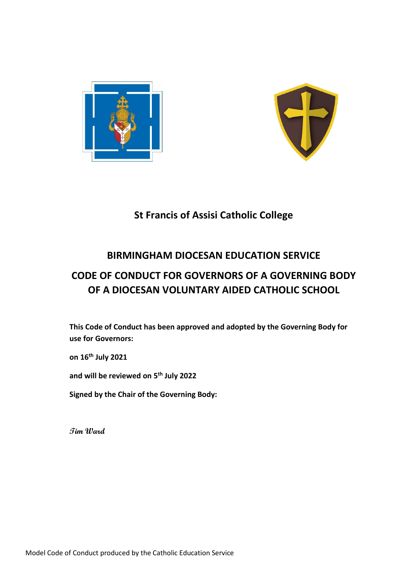



### **St Francis of Assisi Catholic College**

### **BIRMINGHAM DIOCESAN EDUCATION SERVICE**

## **CODE OF CONDUCT FOR GOVERNORS OF A GOVERNING BODY OF A DIOCESAN VOLUNTARY AIDED CATHOLIC SCHOOL**

**This Code of Conduct has been approved and adopted by the Governing Body for use for Governors:**

**on 16th July 2021**

**and will be reviewed on 5 th July 2022**

**Signed by the Chair of the Governing Body:**

**Tim Ward**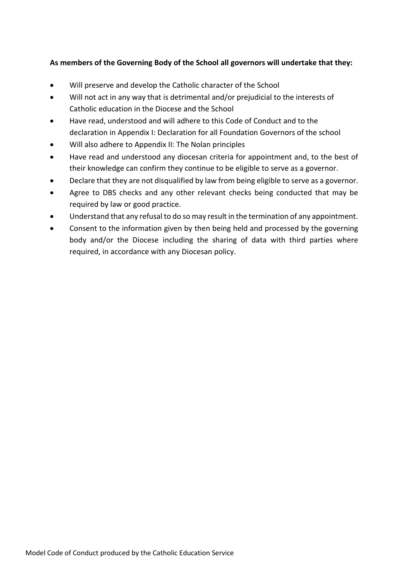#### **As members of the Governing Body of the School all governors will undertake that they:**

- Will preserve and develop the Catholic character of the School
- Will not act in any way that is detrimental and/or prejudicial to the interests of Catholic education in the Diocese and the School
- Have read, understood and will adhere to this Code of Conduct and to the declaration in Appendix I: Declaration for all Foundation Governors of the school
- Will also adhere to Appendix II: The Nolan principles
- Have read and understood any diocesan criteria for appointment and, to the best of their knowledge can confirm they continue to be eligible to serve as a governor.
- Declare that they are not disqualified by law from being eligible to serve as a governor.
- Agree to DBS checks and any other relevant checks being conducted that may be required by law or good practice.
- Understand that any refusal to do so may result in the termination of any appointment.
- Consent to the information given by then being held and processed by the governing body and/or the Diocese including the sharing of data with third parties where required, in accordance with any Diocesan policy.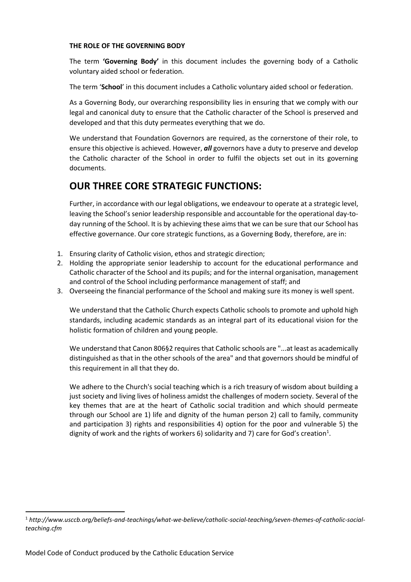#### **THE ROLE OF THE GOVERNING BODY**

The term **'Governing Body'** in this document includes the governing body of a Catholic voluntary aided school or federation.

The term '**School**' in this document includes a Catholic voluntary aided school or federation.

As a Governing Body, our overarching responsibility lies in ensuring that we comply with our legal and canonical duty to ensure that the Catholic character of the School is preserved and developed and that this duty permeates everything that we do.

We understand that Foundation Governors are required, as the cornerstone of their role, to ensure this objective is achieved. However, *all* governors have a duty to preserve and develop the Catholic character of the School in order to fulfil the objects set out in its governing documents.

### **OUR THREE CORE STRATEGIC FUNCTIONS:**

Further, in accordance with our legal obligations, we endeavour to operate at a strategic level, leaving the School's senior leadership responsible and accountable for the operational day-today running of the School. It is by achieving these aims that we can be sure that our School has effective governance. Our core strategic functions, as a Governing Body, therefore, are in:

- 1. Ensuring clarity of Catholic vision, ethos and strategic direction;
- 2. Holding the appropriate senior leadership to account for the educational performance and Catholic character of the School and its pupils; and for the internal organisation, management and control of the School including performance management of staff; and
- 3. Overseeing the financial performance of the School and making sure its money is well spent.

We understand that the Catholic Church expects Catholic schools to promote and uphold high standards, including academic standards as an integral part of its educational vision for the holistic formation of children and young people.

We understand that Canon 806§2 requires that Catholic schools are "...at least as academically distinguished as that in the other schools of the area" and that governors should be mindful of this requirement in all that they do.

We adhere to the Church's social teaching which is a rich treasury of wisdom about building a just society and living lives of holiness amidst the challenges of modern society. Several of the key themes that are at the heart of Catholic social tradition and which should permeate through our School are 1) life and dignity of the human person 2) call to family, community and participation 3) rights and responsibilities 4) option for the poor and vulnerable 5) the dignity of work and the rights of workers 6) solidarity and 7) care for God's creation<sup>1</sup>.

<sup>1</sup> *http://www.usccb.org/beliefs-and-teachings/what-we-believe/catholic-social-teaching/seven-themes-of-catholic-socialteaching.cfm*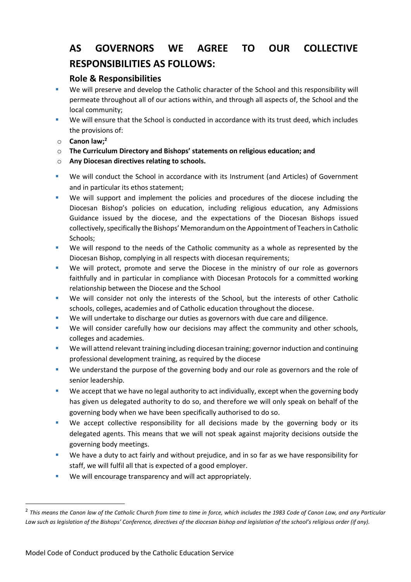# **AS GOVERNORS WE AGREE TO OUR COLLECTIVE RESPONSIBILITIES AS FOLLOWS:**

### **Role & Responsibilities**

- We will preserve and develop the Catholic character of the School and this responsibility will permeate throughout all of our actions within, and through all aspects of, the School and the local community;
- We will ensure that the School is conducted in accordance with its trust deed, which includes the provisions of:
- o **Canon law;<sup>2</sup>**
- o **The Curriculum Directory and Bishops' statements on religious education; and**
- o **Any Diocesan directives relating to schools.**
- We will conduct the School in accordance with its Instrument (and Articles) of Government and in particular its ethos statement;
- We will support and implement the policies and procedures of the diocese including the Diocesan Bishop's policies on education, including religious education, any Admissions Guidance issued by the diocese, and the expectations of the Diocesan Bishops issued collectively, specifically the Bishops' Memorandum on the Appointment of Teachers in Catholic Schools;
- We will respond to the needs of the Catholic community as a whole as represented by the Diocesan Bishop, complying in all respects with diocesan requirements;
- We will protect, promote and serve the Diocese in the ministry of our role as governors faithfully and in particular in compliance with Diocesan Protocols for a committed working relationship between the Diocese and the School
- We will consider not only the interests of the School, but the interests of other Catholic schools, colleges, academies and of Catholic education throughout the diocese.
- We will undertake to discharge our duties as governors with due care and diligence.
- We will consider carefully how our decisions may affect the community and other schools, colleges and academies.
- We will attend relevant training including diocesan training; governor induction and continuing professional development training, as required by the diocese
- We understand the purpose of the governing body and our role as governors and the role of senior leadership.
- We accept that we have no legal authority to act individually, except when the governing body has given us delegated authority to do so, and therefore we will only speak on behalf of the governing body when we have been specifically authorised to do so.
- We accept collective responsibility for all decisions made by the governing body or its delegated agents. This means that we will not speak against majority decisions outside the governing body meetings.
- We have a duty to act fairly and without prejudice, and in so far as we have responsibility for staff, we will fulfil all that is expected of a good employer.
- We will encourage transparency and will act appropriately.

<sup>2</sup> *This means the Canon law of the Catholic Church from time to time in force, which includes the 1983 Code of Canon Law, and any Particular*  Law such as legislation of the Bishops' Conference, directives of the diocesan bishop and legislation of the school's religious order (if any).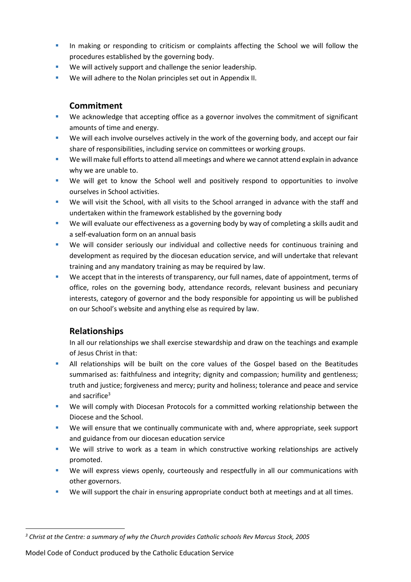- **•** In making or responding to criticism or complaints affecting the School we will follow the procedures established by the governing body.
- We will actively support and challenge the senior leadership.
- We will adhere to the Nolan principles set out in Appendix II.

### **Commitment**

- We acknowledge that accepting office as a governor involves the commitment of significant amounts of time and energy.
- We will each involve ourselves actively in the work of the governing body, and accept our fair share of responsibilities, including service on committees or working groups.
- We will make full efforts to attend all meetings and where we cannot attend explain in advance why we are unable to.
- We will get to know the School well and positively respond to opportunities to involve ourselves in School activities.
- We will visit the School, with all visits to the School arranged in advance with the staff and undertaken within the framework established by the governing body
- We will evaluate our effectiveness as a governing body by way of completing a skills audit and a self-evaluation form on an annual basis
- We will consider seriously our individual and collective needs for continuous training and development as required by the diocesan education service, and will undertake that relevant training and any mandatory training as may be required by law.
- We accept that in the interests of transparency, our full names, date of appointment, terms of office, roles on the governing body, attendance records, relevant business and pecuniary interests, category of governor and the body responsible for appointing us will be published on our School's website and anything else as required by law.

#### **Relationships**

In all our relationships we shall exercise stewardship and draw on the teachings and example of Jesus Christ in that:

- All relationships will be built on the core values of the Gospel based on the Beatitudes summarised as: faithfulness and integrity; dignity and compassion; humility and gentleness; truth and justice; forgiveness and mercy; purity and holiness; tolerance and peace and service and sacrifice<sup>3</sup>
- We will comply with Diocesan Protocols for a committed working relationship between the Diocese and the School.
- We will ensure that we continually communicate with and, where appropriate, seek support and guidance from our diocesan education service
- We will strive to work as a team in which constructive working relationships are actively promoted.
- We will express views openly, courteously and respectfully in all our communications with other governors.
- We will support the chair in ensuring appropriate conduct both at meetings and at all times.

Model Code of Conduct produced by the Catholic Education Service

*<sup>3</sup> Christ at the Centre: a summary of why the Church provides Catholic schools Rev Marcus Stock, 2005*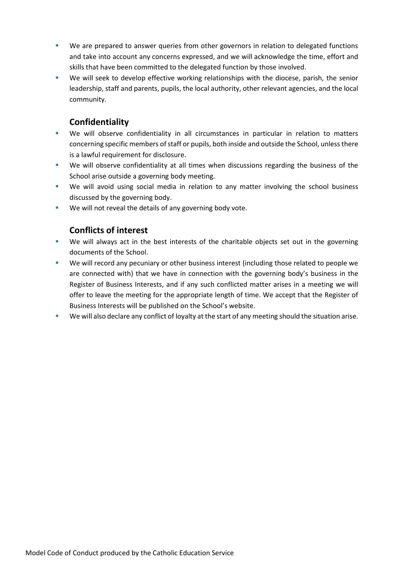- We are prepared to answer queries from other governors in relation to delegated functions and take into account any concerns expressed, and we will acknowledge the time, effort and skills that have been committed to the delegated function by those involved.
- We will seek to develop effective working relationships with the diocese, parish, the senior leadership, staff and parents, pupils, the local authority, other relevant agencies, and the local community.

#### **Confidentiality**

- We will observe confidentiality in all circumstances in particular in relation to matters concerning specific members of staff or pupils, both inside and outside the School, unless there is a lawful requirement for disclosure.
- We will observe confidentiality at all times when discussions regarding the business of the School arise outside a governing body meeting.
- We will avoid using social media in relation to any matter involving the school business discussed by the governing body.
- We will not reveal the details of any governing body vote.

### **Conflicts of interest**

- We will always act in the best interests of the charitable objects set out in the governing documents of the School.
- We will record any pecuniary or other business interest (including those related to people we are connected with) that we have in connection with the governing body's business in the Register of Business Interests, and if any such conflicted matter arises in a meeting we will offer to leave the meeting for the appropriate length of time. We accept that the Register of Business Interests will be published on the School's website.
- We will also declare any conflict of loyalty at the start of any meeting should the situation arise.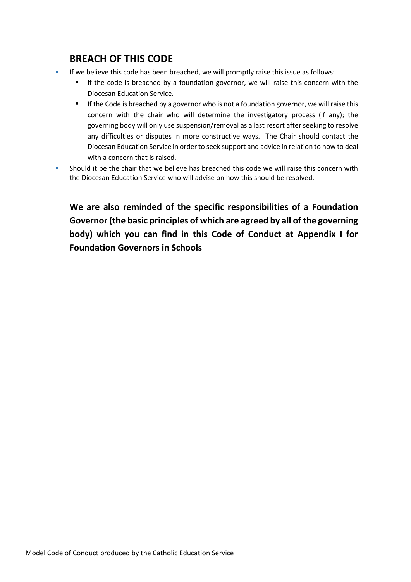### **BREACH OF THIS CODE**

- If we believe this code has been breached, we will promptly raise this issue as follows:
	- If the code is breached by a foundation governor, we will raise this concern with the Diocesan Education Service.
	- **•** If the Code is breached by a governor who is not a foundation governor, we will raise this concern with the chair who will determine the investigatory process (if any); the governing body will only use suspension/removal as a last resort after seeking to resolve any difficulties or disputes in more constructive ways. The Chair should contact the Diocesan Education Service in order to seek support and advice in relation to how to deal with a concern that is raised.
- Should it be the chair that we believe has breached this code we will raise this concern with the Diocesan Education Service who will advise on how this should be resolved.

**We are also reminded of the specific responsibilities of a Foundation Governor (the basic principles of which are agreed by all of the governing body) which you can find in this Code of Conduct at Appendix I for Foundation Governors in Schools**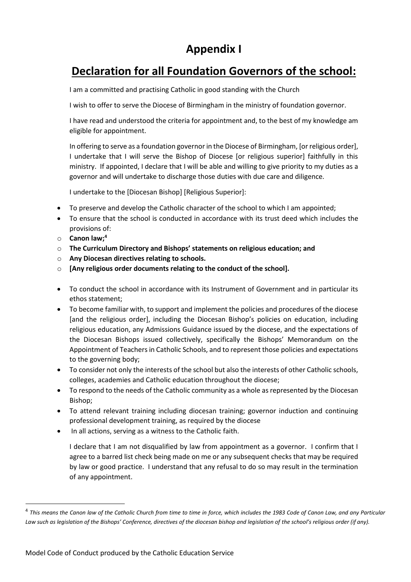## **Appendix I**

## **Declaration for all Foundation Governors of the school:**

I am a committed and practising Catholic in good standing with the Church

I wish to offer to serve the Diocese of Birmingham in the ministry of foundation governor.

I have read and understood the criteria for appointment and, to the best of my knowledge am eligible for appointment.

In offering to serve as a foundation governor in the Diocese of Birmingham, [or religious order], I undertake that I will serve the Bishop of Diocese [or religious superior] faithfully in this ministry. If appointed, I declare that I will be able and willing to give priority to my duties as a governor and will undertake to discharge those duties with due care and diligence.

I undertake to the [Diocesan Bishop] [Religious Superior]:

- To preserve and develop the Catholic character of the school to which I am appointed;
- To ensure that the school is conducted in accordance with its trust deed which includes the provisions of:
- o **Canon law;<sup>4</sup>**
- o **The Curriculum Directory and Bishops' statements on religious education; and**
- o **Any Diocesan directives relating to schools.**
- o **[Any religious order documents relating to the conduct of the school].**
- To conduct the school in accordance with its Instrument of Government and in particular its ethos statement;
- To become familiar with, to support and implement the policies and procedures of the diocese [and the religious order], including the Diocesan Bishop's policies on education, including religious education, any Admissions Guidance issued by the diocese, and the expectations of the Diocesan Bishops issued collectively, specifically the Bishops' Memorandum on the Appointment of Teachers in Catholic Schools, and to represent those policies and expectations to the governing body;
- To consider not only the interests of the school but also the interests of other Catholic schools, colleges, academies and Catholic education throughout the diocese;
- To respond to the needs of the Catholic community as a whole as represented by the Diocesan Bishop;
- To attend relevant training including diocesan training; governor induction and continuing professional development training, as required by the diocese
- In all actions, serving as a witness to the Catholic faith.

I declare that I am not disqualified by law from appointment as a governor. I confirm that I agree to a barred list check being made on me or any subsequent checks that may be required by law or good practice. I understand that any refusal to do so may result in the termination of any appointment.

<sup>&</sup>lt;sup>4</sup> This means the Canon law of the Catholic Church from time to time in force, which includes the 1983 Code of Canon Law, and any Particular Law such as legislation of the Bishops' Conference, directives of the diocesan bishop and legislation of the school's religious order (if any).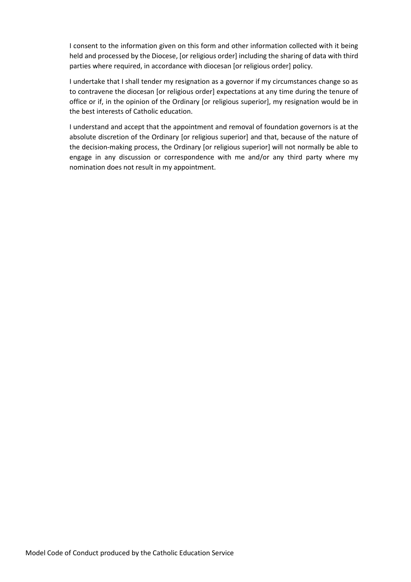I consent to the information given on this form and other information collected with it being held and processed by the Diocese, [or religious order] including the sharing of data with third parties where required, in accordance with diocesan [or religious order] policy.

I undertake that I shall tender my resignation as a governor if my circumstances change so as to contravene the diocesan [or religious order] expectations at any time during the tenure of office or if, in the opinion of the Ordinary [or religious superior], my resignation would be in the best interests of Catholic education.

I understand and accept that the appointment and removal of foundation governors is at the absolute discretion of the Ordinary [or religious superior] and that, because of the nature of the decision-making process, the Ordinary [or religious superior] will not normally be able to engage in any discussion or correspondence with me and/or any third party where my nomination does not result in my appointment.